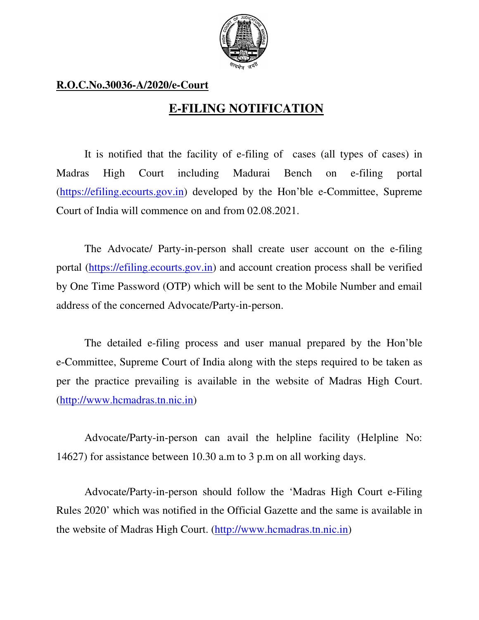

## **R.O.C.No.30036-A/2020/e-Court**

## **E-FILING NOTIFICATION**

It is notified that the facility of e-filing of cases (all types of cases) in Madras High Court including Madurai Bench on e-filing portal (https://efiling.ecourts.gov.in) developed by the Hon'ble e-Committee, Supreme Court of India will commence on and from 02.08.2021.

The Advocate/ Party-in-person shall create user account on the e-filing portal (https://efiling.ecourts.gov.in) and account creation process shall be verified by One Time Password (OTP) which will be sent to the Mobile Number and email address of the concerned Advocate/Party-in-person.

The detailed e-filing process and user manual prepared by the Hon'ble e-Committee, Supreme Court of India along with the steps required to be taken as per the practice prevailing is available in the website of Madras High Court. (http://www.hcmadras.tn.nic.in)

Advocate/Party-in-person can avail the helpline facility (Helpline No: 14627) for assistance between 10.30 a.m to 3 p.m on all working days.

Advocate/Party-in-person should follow the 'Madras High Court e-Filing Rules 2020' which was notified in the Official Gazette and the same is available in the website of Madras High Court. (http://www.hcmadras.tn.nic.in)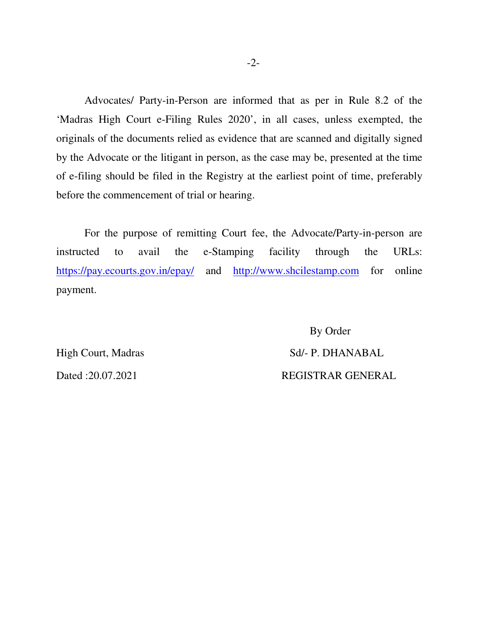Advocates/ Party-in-Person are informed that as per in Rule 8.2 of the 'Madras High Court e-Filing Rules 2020', in all cases, unless exempted, the originals of the documents relied as evidence that are scanned and digitally signed by the Advocate or the litigant in person, as the case may be, presented at the time of e-filing should be filed in the Registry at the earliest point of time, preferably before the commencement of trial or hearing.

For the purpose of remitting Court fee, the Advocate/Party-in-person are instructed to avail the e-Stamping facility through the URLs: https://pay.ecourts.gov.in/epay/ and http://www.shcilestamp.com for online payment.

 By Order High Court, Madras Sd/- P. DHANABAL Dated :20.07.2021 REGISTRAR GENERAL